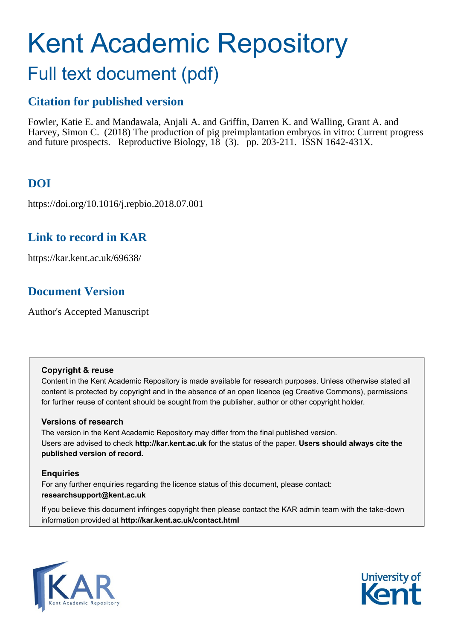# Kent Academic Repository

## Full text document (pdf)

## **Citation for published version**

Fowler, Katie E. and Mandawala, Anjali A. and Griffin, Darren K. and Walling, Grant A. and Harvey, Simon C. (2018) The production of pig preimplantation embryos in vitro: Current progress and future prospects. Reproductive Biology,  $18(3)$ . pp. 203-211. ISSN 1642-431X.

## **DOI**

https://doi.org/10.1016/j.repbio.2018.07.001

## **Link to record in KAR**

https://kar.kent.ac.uk/69638/

## **Document Version**

Author's Accepted Manuscript

#### **Copyright & reuse**

Content in the Kent Academic Repository is made available for research purposes. Unless otherwise stated all content is protected by copyright and in the absence of an open licence (eg Creative Commons), permissions for further reuse of content should be sought from the publisher, author or other copyright holder.

#### **Versions of research**

The version in the Kent Academic Repository may differ from the final published version. Users are advised to check **http://kar.kent.ac.uk** for the status of the paper. **Users should always cite the published version of record.**

#### **Enquiries**

For any further enquiries regarding the licence status of this document, please contact: **researchsupport@kent.ac.uk**

If you believe this document infringes copyright then please contact the KAR admin team with the take-down information provided at **http://kar.kent.ac.uk/contact.html**



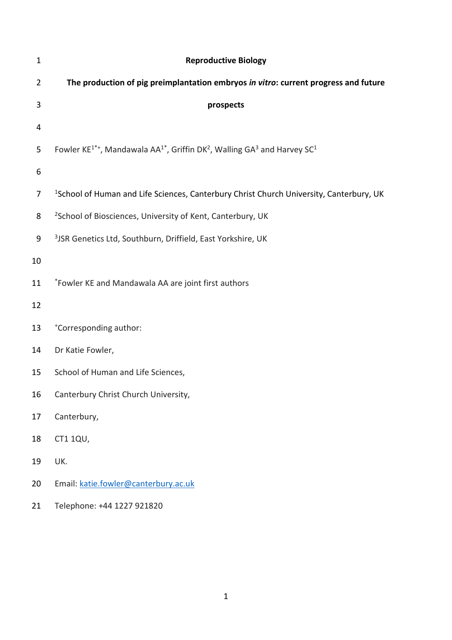| $\mathbf{1}$   | <b>Reproductive Biology</b>                                                                                                          |
|----------------|--------------------------------------------------------------------------------------------------------------------------------------|
| $\overline{2}$ | The production of pig preimplantation embryos in vitro: current progress and future                                                  |
| 3              | prospects                                                                                                                            |
| 4              |                                                                                                                                      |
| 5              | Fowler KE <sup>1*+</sup> , Mandawala AA <sup>1*</sup> , Griffin DK <sup>2</sup> , Walling GA <sup>3</sup> and Harvey SC <sup>1</sup> |
| 6              |                                                                                                                                      |
| 7              | <sup>1</sup> School of Human and Life Sciences, Canterbury Christ Church University, Canterbury, UK                                  |
| 8              | <sup>2</sup> School of Biosciences, University of Kent, Canterbury, UK                                                               |
| 9              | <sup>3</sup> JSR Genetics Ltd, Southburn, Driffield, East Yorkshire, UK                                                              |
| 10             |                                                                                                                                      |
| 11             | *Fowler KE and Mandawala AA are joint first authors                                                                                  |
| 12             |                                                                                                                                      |
| 13             | *Corresponding author:                                                                                                               |
| 14             | Dr Katie Fowler,                                                                                                                     |
| 15             | School of Human and Life Sciences,                                                                                                   |
| 16             | Canterbury Christ Church University,                                                                                                 |
| 17             | Canterbury,                                                                                                                          |
| 18             | CT1 1QU,                                                                                                                             |
| 19             | UK.                                                                                                                                  |
| 20             | Email: katie.fowler@canterbury.ac.uk                                                                                                 |
| 21             | Telephone: +44 1227 921820                                                                                                           |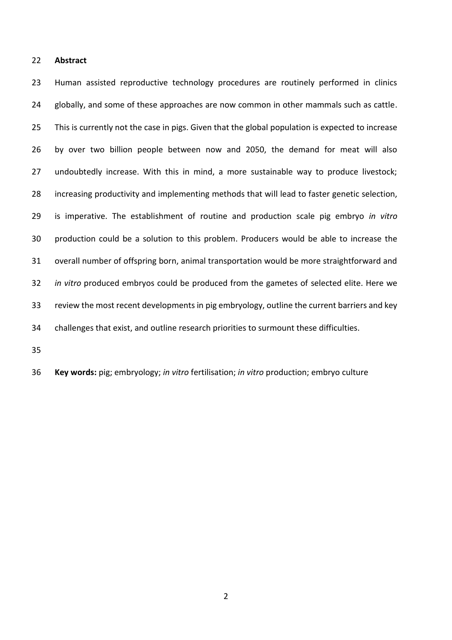#### **Abstract**

 Human assisted reproductive technology procedures are routinely performed in clinics 24 globally, and some of these approaches are now common in other mammals such as cattle. This is currently not the case in pigs. Given that the global population is expected to increase by over two billion people between now and 2050, the demand for meat will also undoubtedly increase. With this in mind, a more sustainable way to produce livestock; increasing productivity and implementing methods that will lead to faster genetic selection, is imperative. The establishment of routine and production scale pig embryo *in vitro*  production could be a solution to this problem. Producers would be able to increase the overall number of offspring born, animal transportation would be more straightforward and *in vitro* produced embryos could be produced from the gametes of selected elite. Here we review the most recent developments in pig embryology, outline the current barriers and key challenges that exist, and outline research priorities to surmount these difficulties.

**Key words:** pig; embryology; *in vitro* fertilisation; *in vitro* production; embryo culture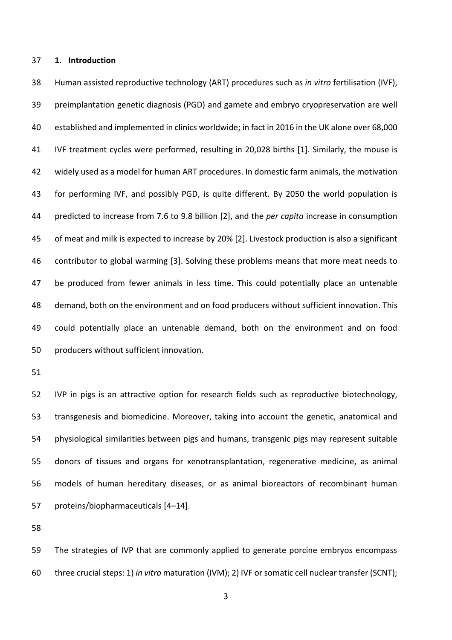#### **1. Introduction**

 Human assisted reproductive technology (ART) procedures such as *in vitro* fertilisation (IVF), preimplantation genetic diagnosis (PGD) and gamete and embryo cryopreservation are well established and implemented in clinics worldwide; in fact in 2016 in the UK alone over 68,000 IVF treatment cycles were performed, resulting in 20,028 births [1]. Similarly, the mouse is widely used as a model for human ART procedures. In domestic farm animals, the motivation for performing IVF, and possibly PGD, is quite different. By 2050 the world population is predicted to increase from 7.6 to 9.8 billion [2], and the *per capita* increase in consumption of meat and milk is expected to increase by 20% [2]. Livestock production is also a significant contributor to global warming [3]. Solving these problems means that more meat needs to be produced from fewer animals in less time. This could potentially place an untenable demand, both on the environment and on food producers without sufficient innovation. This could potentially place an untenable demand, both on the environment and on food producers without sufficient innovation.

 IVP in pigs is an attractive option for research fields such as reproductive biotechnology, transgenesis and biomedicine. Moreover, taking into account the genetic, anatomical and physiological similarities between pigs and humans, transgenic pigs may represent suitable donors of tissues and organs for xenotransplantation, regenerative medicine, as animal models of human hereditary diseases, or as animal bioreactors of recombinant human proteins/biopharmaceuticals [4–14].

 The strategies of IVP that are commonly applied to generate porcine embryos encompass three crucial steps: 1) *in vitro* maturation (IVM); 2) IVF or somatic cell nuclear transfer (SCNT);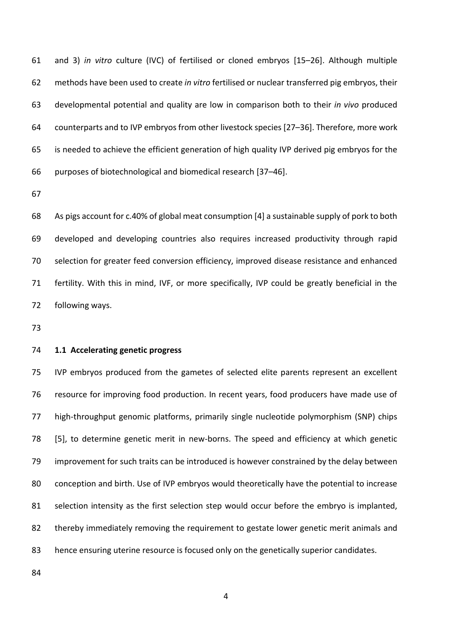and 3) *in vitro* culture (IVC) of fertilised or cloned embryos [15–26]. Although multiple methods have been used to create *in vitro* fertilised or nuclear transferred pig embryos, their developmental potential and quality are low in comparison both to their *in vivo* produced counterparts and to IVP embryos from other livestock species [27–36]. Therefore, more work is needed to achieve the efficient generation of high quality IVP derived pig embryos for the purposes of biotechnological and biomedical research [37–46].

 As pigs account for c.40% of global meat consumption [4] a sustainable supply of pork to both developed and developing countries also requires increased productivity through rapid selection for greater feed conversion efficiency, improved disease resistance and enhanced fertility. With this in mind, IVF, or more specifically, IVP could be greatly beneficial in the following ways.

#### **1.1 Accelerating genetic progress**

 IVP embryos produced from the gametes of selected elite parents represent an excellent resource for improving food production. In recent years, food producers have made use of high-throughput genomic platforms, primarily single nucleotide polymorphism (SNP) chips [5], to determine genetic merit in new-borns. The speed and efficiency at which genetic improvement for such traits can be introduced is however constrained by the delay between conception and birth. Use of IVP embryos would theoretically have the potential to increase 81 selection intensity as the first selection step would occur before the embryo is implanted, 82 thereby immediately removing the requirement to gestate lower genetic merit animals and hence ensuring uterine resource is focused only on the genetically superior candidates.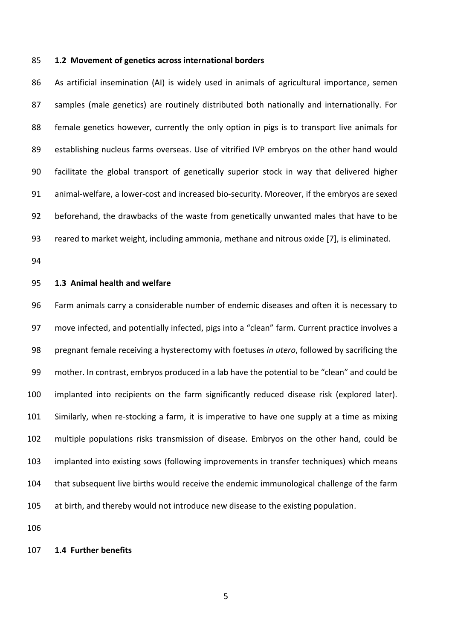#### **1.2 Movement of genetics across international borders**

 As artificial insemination (AI) is widely used in animals of agricultural importance, semen samples (male genetics) are routinely distributed both nationally and internationally. For female genetics however, currently the only option in pigs is to transport live animals for establishing nucleus farms overseas. Use of vitrified IVP embryos on the other hand would facilitate the global transport of genetically superior stock in way that delivered higher animal-welfare, a lower-cost and increased bio-security. Moreover, if the embryos are sexed beforehand, the drawbacks of the waste from genetically unwanted males that have to be reared to market weight, including ammonia, methane and nitrous oxide [7], is eliminated.

#### **1.3 Animal health and welfare**

 Farm animals carry a considerable number of endemic diseases and often it is necessary to 97 move infected, and potentially infected, pigs into a "clean" farm. Current practice involves a pregnant female receiving a hysterectomy with foetuses *in utero*, followed by sacrificing the mother. In contrast, embryos produced in a lab have the potential to be "clean" and could be implanted into recipients on the farm significantly reduced disease risk (explored later). Similarly, when re-stocking a farm, it is imperative to have one supply at a time as mixing multiple populations risks transmission of disease. Embryos on the other hand, could be implanted into existing sows (following improvements in transfer techniques) which means that subsequent live births would receive the endemic immunological challenge of the farm at birth, and thereby would not introduce new disease to the existing population.

#### **1.4 Further benefits**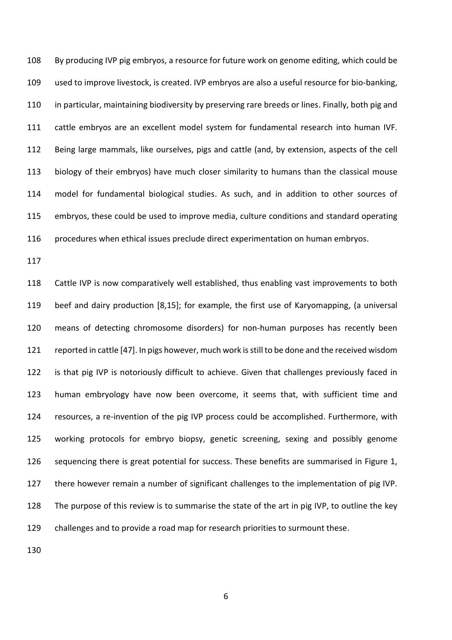By producing IVP pig embryos, a resource for future work on genome editing, which could be used to improve livestock, is created. IVP embryos are also a useful resource for bio-banking, 110 in particular, maintaining biodiversity by preserving rare breeds or lines. Finally, both pig and cattle embryos are an excellent model system for fundamental research into human IVF. Being large mammals, like ourselves, pigs and cattle (and, by extension, aspects of the cell biology of their embryos) have much closer similarity to humans than the classical mouse model for fundamental biological studies. As such, and in addition to other sources of embryos, these could be used to improve media, culture conditions and standard operating procedures when ethical issues preclude direct experimentation on human embryos.

 Cattle IVP is now comparatively well established, thus enabling vast improvements to both beef and dairy production [8,15]; for example, the first use of Karyomapping, (a universal means of detecting chromosome disorders) for non-human purposes has recently been reported in cattle [47]. In pigs however, much work is still to be done and the received wisdom 122 is that pig IVP is notoriously difficult to achieve. Given that challenges previously faced in human embryology have now been overcome, it seems that, with sufficient time and resources, a re-invention of the pig IVP process could be accomplished. Furthermore, with working protocols for embryo biopsy, genetic screening, sexing and possibly genome sequencing there is great potential for success. These benefits are summarised in Figure 1, there however remain a number of significant challenges to the implementation of pig IVP. The purpose of this review is to summarise the state of the art in pig IVP, to outline the key challenges and to provide a road map for research priorities to surmount these.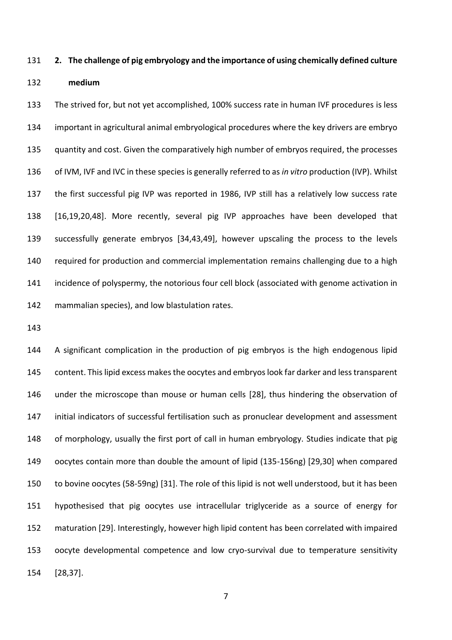#### **2. The challenge of pig embryology and the importance of using chemically defined culture**

#### **medium**

 The strived for, but not yet accomplished, 100% success rate in human IVF procedures is less important in agricultural animal embryological procedures where the key drivers are embryo quantity and cost. Given the comparatively high number of embryos required, the processes of IVM, IVF and IVC in these species is generally referred to as *in vitro* production (IVP). Whilst the first successful pig IVP was reported in 1986, IVP still has a relatively low success rate [16,19,20,48]. More recently, several pig IVP approaches have been developed that successfully generate embryos [34,43,49], however upscaling the process to the levels required for production and commercial implementation remains challenging due to a high incidence of polyspermy, the notorious four cell block (associated with genome activation in mammalian species), and low blastulation rates.

 A significant complication in the production of pig embryos is the high endogenous lipid content. This lipid excess makes the oocytes and embryos look far darker and less transparent under the microscope than mouse or human cells [28], thus hindering the observation of initial indicators of successful fertilisation such as pronuclear development and assessment of morphology, usually the first port of call in human embryology. Studies indicate that pig oocytes contain more than double the amount of lipid (135-156ng) [29,30] when compared to bovine oocytes (58-59ng) [31]. The role of this lipid is not well understood, but it has been hypothesised that pig oocytes use intracellular triglyceride as a source of energy for maturation [29]. Interestingly, however high lipid content has been correlated with impaired oocyte developmental competence and low cryo-survival due to temperature sensitivity [28,37].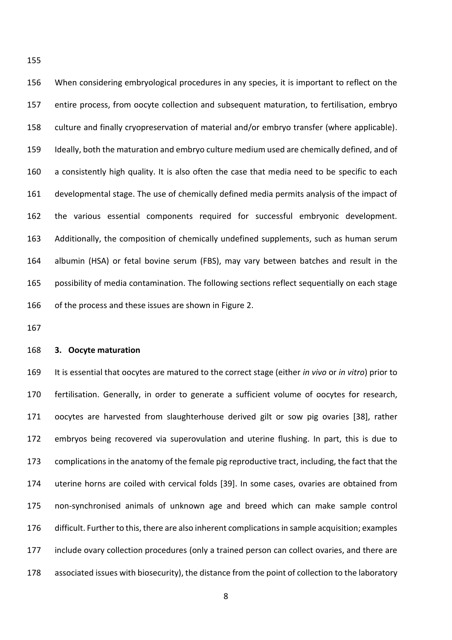When considering embryological procedures in any species, it is important to reflect on the entire process, from oocyte collection and subsequent maturation, to fertilisation, embryo culture and finally cryopreservation of material and/or embryo transfer (where applicable). Ideally, both the maturation and embryo culture medium used are chemically defined, and of a consistently high quality. It is also often the case that media need to be specific to each developmental stage. The use of chemically defined media permits analysis of the impact of the various essential components required for successful embryonic development. Additionally, the composition of chemically undefined supplements, such as human serum albumin (HSA) or fetal bovine serum (FBS), may vary between batches and result in the possibility of media contamination. The following sections reflect sequentially on each stage of the process and these issues are shown in Figure 2.

#### **3. Oocyte maturation**

 It is essential that oocytes are matured to the correct stage (either *in vivo* or *in vitro*) prior to fertilisation. Generally, in order to generate a sufficient volume of oocytes for research, oocytes are harvested from slaughterhouse derived gilt or sow pig ovaries [38], rather embryos being recovered via superovulation and uterine flushing. In part, this is due to complications in the anatomy of the female pig reproductive tract, including, the fact that the uterine horns are coiled with cervical folds [39]. In some cases, ovaries are obtained from non-synchronised animals of unknown age and breed which can make sample control difficult. Further to this, there are also inherent complications in sample acquisition; examples include ovary collection procedures (only a trained person can collect ovaries, and there are associated issues with biosecurity), the distance from the point of collection to the laboratory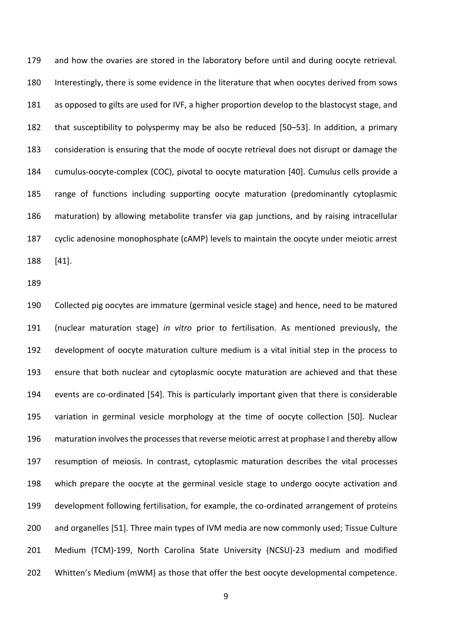and how the ovaries are stored in the laboratory before until and during oocyte retrieval. Interestingly, there is some evidence in the literature that when oocytes derived from sows as opposed to gilts are used for IVF, a higher proportion develop to the blastocyst stage, and that susceptibility to polyspermy may be also be reduced [50–53]. In addition, a primary consideration is ensuring that the mode of oocyte retrieval does not disrupt or damage the cumulus-oocyte-complex (COC), pivotal to oocyte maturation [40]. Cumulus cells provide a range of functions including supporting oocyte maturation (predominantly cytoplasmic maturation) by allowing metabolite transfer via gap junctions, and by raising intracellular cyclic adenosine monophosphate (cAMP) levels to maintain the oocyte under meiotic arrest [41].

 Collected pig oocytes are immature (germinal vesicle stage) and hence, need to be matured (nuclear maturation stage) *in vitro* prior to fertilisation. As mentioned previously, the development of oocyte maturation culture medium is a vital initial step in the process to ensure that both nuclear and cytoplasmic oocyte maturation are achieved and that these events are co-ordinated [54]. This is particularly important given that there is considerable variation in germinal vesicle morphology at the time of oocyte collection [50]. Nuclear maturation involves the processes that reverse meiotic arrest at prophase I and thereby allow resumption of meiosis. In contrast, cytoplasmic maturation describes the vital processes which prepare the oocyte at the germinal vesicle stage to undergo oocyte activation and development following fertilisation, for example, the co-ordinated arrangement of proteins and organelles [51]. Three main types of IVM media are now commonly used; Tissue Culture Medium (TCM)-199, North Carolina State University (NCSU)-23 medium and modified 202 Whitten's Medium (mWM) as those that offer the best oocyte developmental competence.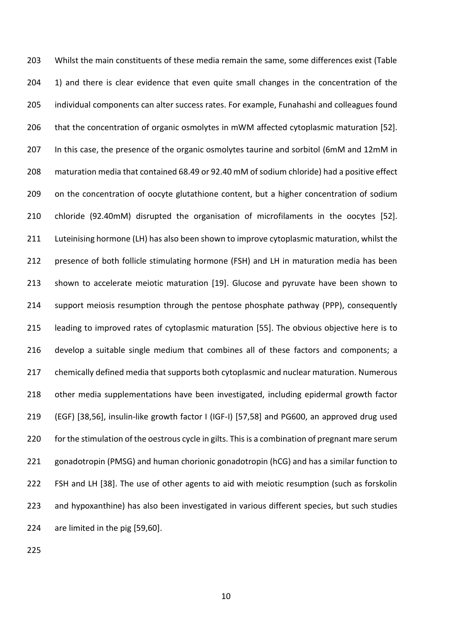203 Whilst the main constituents of these media remain the same, some differences exist (Table 204 1) and there is clear evidence that even quite small changes in the concentration of the individual components can alter success rates. For example, Funahashi and colleagues found that the concentration of organic osmolytes in mWM affected cytoplasmic maturation [52]. 207 In this case, the presence of the organic osmolytes taurine and sorbitol (6mM and 12mM in maturation media that contained 68.49 or 92.40 mM of sodium chloride) had a positive effect on the concentration of oocyte glutathione content, but a higher concentration of sodium chloride (92.40mM) disrupted the organisation of microfilaments in the oocytes [52]. Luteinising hormone (LH) has also been shown to improve cytoplasmic maturation, whilst the presence of both follicle stimulating hormone (FSH) and LH in maturation media has been shown to accelerate meiotic maturation [19]. Glucose and pyruvate have been shown to support meiosis resumption through the pentose phosphate pathway (PPP), consequently leading to improved rates of cytoplasmic maturation [55]. The obvious objective here is to develop a suitable single medium that combines all of these factors and components; a 217 chemically defined media that supports both cytoplasmic and nuclear maturation. Numerous other media supplementations have been investigated, including epidermal growth factor (EGF) [38,56], insulin-like growth factor I (IGF-I) [57,58] and PG600, an approved drug used 220 for the stimulation of the oestrous cycle in gilts. This is a combination of pregnant mare serum gonadotropin (PMSG) and human chorionic gonadotropin (hCG) and has a similar function to FSH and LH [38]. The use of other agents to aid with meiotic resumption (such as forskolin and hypoxanthine) has also been investigated in various different species, but such studies are limited in the pig [59,60].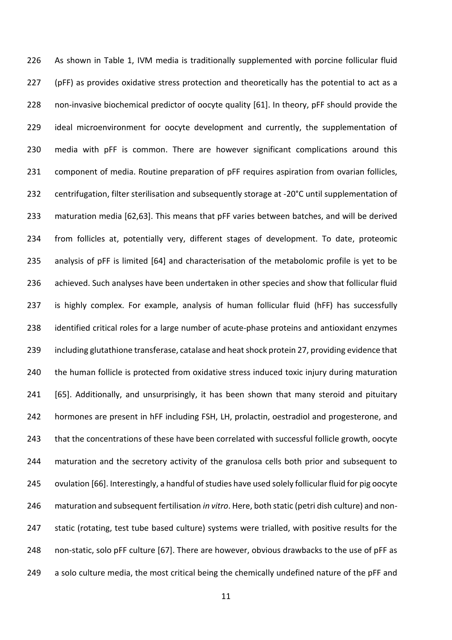As shown in Table 1, IVM media is traditionally supplemented with porcine follicular fluid 227 (pFF) as provides oxidative stress protection and theoretically has the potential to act as a non-invasive biochemical predictor of oocyte quality [61]. In theory, pFF should provide the 229 ideal microenvironment for oocyte development and currently, the supplementation of media with pFF is common. There are however significant complications around this component of media. Routine preparation of pFF requires aspiration from ovarian follicles, centrifugation, filter sterilisation and subsequently storage at -20°C until supplementation of maturation media [62,63]. This means that pFF varies between batches, and will be derived from follicles at, potentially very, different stages of development. To date, proteomic analysis of pFF is limited [64] and characterisation of the metabolomic profile is yet to be achieved. Such analyses have been undertaken in other species and show that follicular fluid is highly complex. For example, analysis of human follicular fluid (hFF) has successfully identified critical roles for a large number of acute-phase proteins and antioxidant enzymes including glutathione transferase, catalase and heat shock protein 27, providing evidence that 240 the human follicle is protected from oxidative stress induced toxic injury during maturation 241 [65]. Additionally, and unsurprisingly, it has been shown that many steroid and pituitary hormones are present in hFF including FSH, LH, prolactin, oestradiol and progesterone, and that the concentrations of these have been correlated with successful follicle growth, oocyte maturation and the secretory activity of the granulosa cells both prior and subsequent to ovulation [66]. Interestingly, a handful of studies have used solely follicular fluid for pig oocyte maturation and subsequent fertilisation *in vitro*. Here, both static (petri dish culture) and non-247 static (rotating, test tube based culture) systems were trialled, with positive results for the non-static, solo pFF culture [67]. There are however, obvious drawbacks to the use of pFF as 249 a solo culture media, the most critical being the chemically undefined nature of the pFF and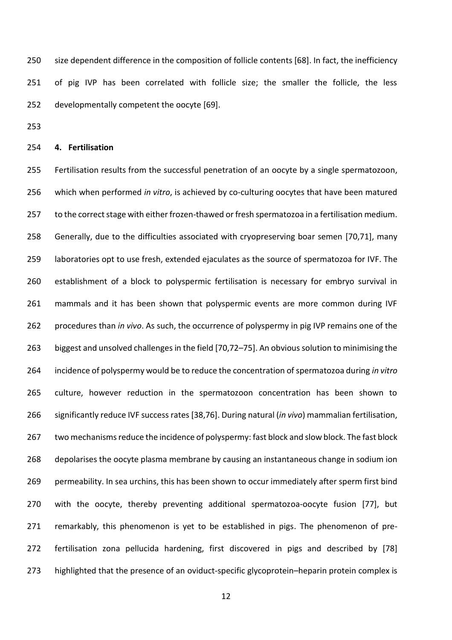size dependent difference in the composition of follicle contents [68]. In fact, the inefficiency 251 of pig IVP has been correlated with follicle size; the smaller the follicle, the less developmentally competent the oocyte [69].

#### **4. Fertilisation**

 Fertilisation results from the successful penetration of an oocyte by a single spermatozoon, which when performed *in vitro*, is achieved by co-culturing oocytes that have been matured 257 to the correct stage with either frozen-thawed or fresh spermatozoa in a fertilisation medium. Generally, due to the difficulties associated with cryopreserving boar semen [70,71], many laboratories opt to use fresh, extended ejaculates as the source of spermatozoa for IVF. The establishment of a block to polyspermic fertilisation is necessary for embryo survival in mammals and it has been shown that polyspermic events are more common during IVF procedures than *in vivo*. As such, the occurrence of polyspermy in pig IVP remains one of the biggest and unsolved challenges in the field [70,72–75]. An obvious solution to minimising the incidence of polyspermy would be to reduce the concentration of spermatozoa during *in vitro*  culture, however reduction in the spermatozoon concentration has been shown to significantly reduce IVF success rates [38,76]. During natural (*in vivo*) mammalian fertilisation, two mechanisms reduce the incidence of polyspermy: fast block and slow block. The fast block depolarises the oocyte plasma membrane by causing an instantaneous change in sodium ion permeability. In sea urchins, this has been shown to occur immediately after sperm first bind with the oocyte, thereby preventing additional spermatozoa-oocyte fusion [77], but remarkably, this phenomenon is yet to be established in pigs. The phenomenon of pre- fertilisation zona pellucida hardening, first discovered in pigs and described by [78] highlighted that the presence of an oviduct-specific glycoprotein–heparin protein complex is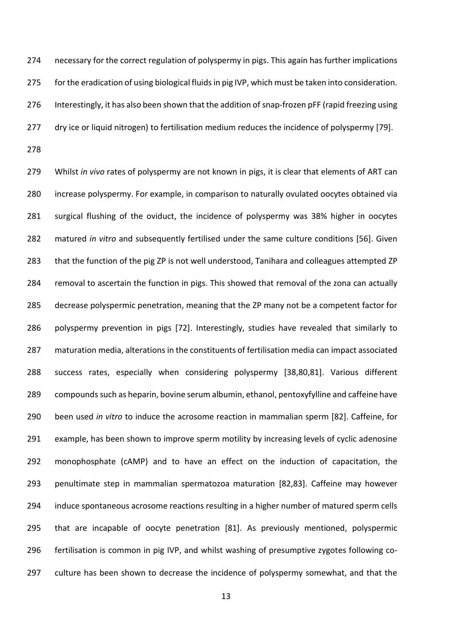274 necessary for the correct regulation of polyspermy in pigs. This again has further implications 275 for the eradication of using biological fluids in pig IVP, which must be taken into consideration. 276 Interestingly, it has also been shown that the addition of snap-frozen pFF (rapid freezing using dry ice or liquid nitrogen) to fertilisation medium reduces the incidence of polyspermy [79]. 

 Whilst *in vivo* rates of polyspermy are not known in pigs, it is clear that elements of ART can increase polyspermy. For example, in comparison to naturally ovulated oocytes obtained via surgical flushing of the oviduct, the incidence of polyspermy was 38% higher in oocytes matured *in vitro* and subsequently fertilised under the same culture conditions [56]. Given that the function of the pig ZP is not well understood, Tanihara and colleagues attempted ZP removal to ascertain the function in pigs. This showed that removal of the zona can actually decrease polyspermic penetration, meaning that the ZP many not be a competent factor for polyspermy prevention in pigs [72]. Interestingly, studies have revealed that similarly to maturation media, alterations in the constituents of fertilisation media can impact associated success rates, especially when considering polyspermy [38,80,81]. Various different compounds such as heparin, bovine serum albumin, ethanol, pentoxyfylline and caffeine have been used *in vitro* to induce the acrosome reaction in mammalian sperm [82]. Caffeine, for example, has been shown to improve sperm motility by increasing levels of cyclic adenosine monophosphate (cAMP) and to have an effect on the induction of capacitation, the penultimate step in mammalian spermatozoa maturation [82,83]. Caffeine may however 294 induce spontaneous acrosome reactions resulting in a higher number of matured sperm cells that are incapable of oocyte penetration [81]. As previously mentioned, polyspermic fertilisation is common in pig IVP, and whilst washing of presumptive zygotes following co-culture has been shown to decrease the incidence of polyspermy somewhat, and that the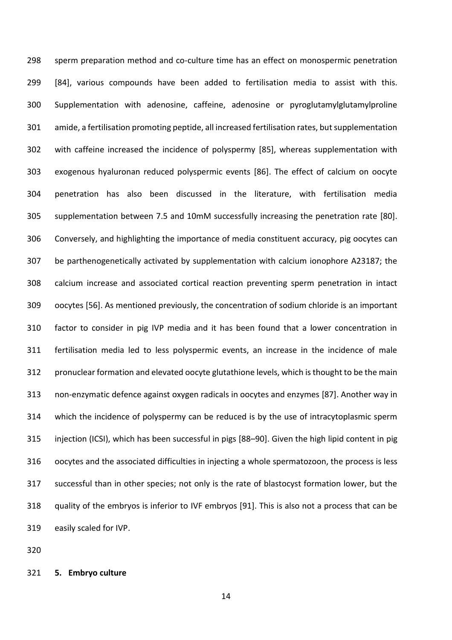sperm preparation method and co-culture time has an effect on monospermic penetration [84], various compounds have been added to fertilisation media to assist with this. Supplementation with adenosine, caffeine, adenosine or pyroglutamylglutamylproline amide, a fertilisation promoting peptide, all increased fertilisation rates, but supplementation with caffeine increased the incidence of polyspermy [85], whereas supplementation with exogenous hyaluronan reduced polyspermic events [86]. The effect of calcium on oocyte penetration has also been discussed in the literature, with fertilisation media supplementation between 7.5 and 10mM successfully increasing the penetration rate [80]. Conversely, and highlighting the importance of media constituent accuracy, pig oocytes can be parthenogenetically activated by supplementation with calcium ionophore A23187; the calcium increase and associated cortical reaction preventing sperm penetration in intact oocytes [56]. As mentioned previously, the concentration of sodium chloride is an important factor to consider in pig IVP media and it has been found that a lower concentration in fertilisation media led to less polyspermic events, an increase in the incidence of male pronuclear formation and elevated oocyte glutathione levels, which is thought to be the main non-enzymatic defence against oxygen radicals in oocytes and enzymes [87]. Another way in which the incidence of polyspermy can be reduced is by the use of intracytoplasmic sperm injection (ICSI), which has been successful in pigs [88–90]. Given the high lipid content in pig oocytes and the associated difficulties in injecting a whole spermatozoon, the process is less successful than in other species; not only is the rate of blastocyst formation lower, but the quality of the embryos is inferior to IVF embryos [91]. This is also not a process that can be easily scaled for IVP.

**5. Embryo culture**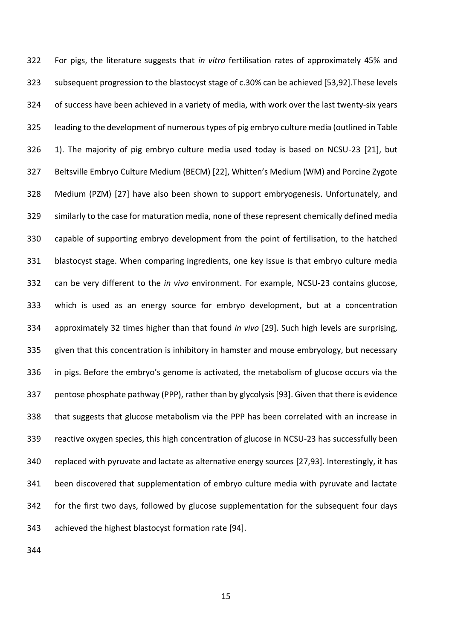For pigs, the literature suggests that *in vitro* fertilisation rates of approximately 45% and subsequent progression to the blastocyst stage of c.30% can be achieved [53,92].These levels of success have been achieved in a variety of media, with work over the last twenty-six years leading to the development of numeroustypes of pig embryo culture media (outlined in Table 1). The majority of pig embryo culture media used today is based on NCSU-23 [21], but Beltsville Embryo Culture Medium (BECM) [22], Whitten's Medium (WM) and Porcine Zygote Medium (PZM) [27] have also been shown to support embryogenesis. Unfortunately, and similarly to the case for maturation media, none of these represent chemically defined media capable of supporting embryo development from the point of fertilisation, to the hatched blastocyst stage. When comparing ingredients, one key issue is that embryo culture media can be very different to the *in vivo* environment. For example, NCSU-23 contains glucose, which is used as an energy source for embryo development, but at a concentration approximately 32 times higher than that found *in vivo* [29]. Such high levels are surprising, given that this concentration is inhibitory in hamster and mouse embryology, but necessary in pigs. Before the embryo's genome is activated, the metabolism of glucose occurs via the pentose phosphate pathway (PPP), rather than by glycolysis [93]. Given that there is evidence that suggests that glucose metabolism via the PPP has been correlated with an increase in reactive oxygen species, this high concentration of glucose in NCSU-23 has successfully been replaced with pyruvate and lactate as alternative energy sources [27,93]. Interestingly, it has been discovered that supplementation of embryo culture media with pyruvate and lactate for the first two days, followed by glucose supplementation for the subsequent four days achieved the highest blastocyst formation rate [94].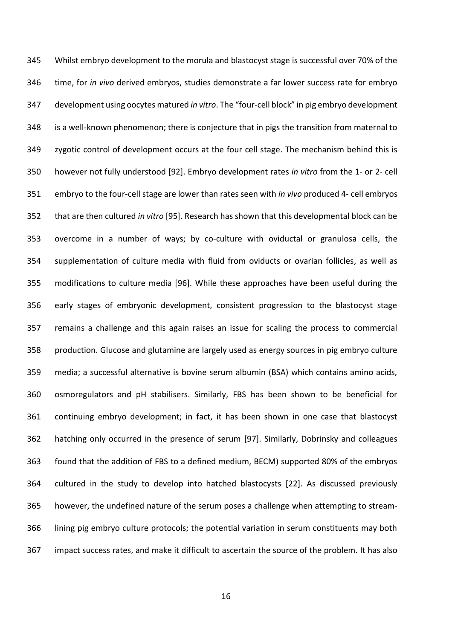Whilst embryo development to the morula and blastocyst stage is successful over 70% of the time, for *in vivo* derived embryos, studies demonstrate a far lower success rate for embryo development using oocytes matured *in vitro*. The "four-cell block" in pig embryo development is a well-known phenomenon; there is conjecture that in pigs the transition from maternal to zygotic control of development occurs at the four cell stage. The mechanism behind this is however not fully understood [92]. Embryo development rates *in vitro* from the 1- or 2- cell embryo to the four-cell stage are lower than rates seen with *in vivo* produced 4- cell embryos that are then cultured *in vitro* [95]. Research has shown that this developmental block can be overcome in a number of ways; by co-culture with oviductal or granulosa cells, the supplementation of culture media with fluid from oviducts or ovarian follicles, as well as modifications to culture media [96]. While these approaches have been useful during the early stages of embryonic development, consistent progression to the blastocyst stage remains a challenge and this again raises an issue for scaling the process to commercial production. Glucose and glutamine are largely used as energy sources in pig embryo culture media; a successful alternative is bovine serum albumin (BSA) which contains amino acids, osmoregulators and pH stabilisers. Similarly, FBS has been shown to be beneficial for continuing embryo development; in fact, it has been shown in one case that blastocyst hatching only occurred in the presence of serum [97]. Similarly, Dobrinsky and colleagues found that the addition of FBS to a defined medium, BECM) supported 80% of the embryos cultured in the study to develop into hatched blastocysts [22]. As discussed previously however, the undefined nature of the serum poses a challenge when attempting to stream- lining pig embryo culture protocols; the potential variation in serum constituents may both impact success rates, and make it difficult to ascertain the source of the problem. It has also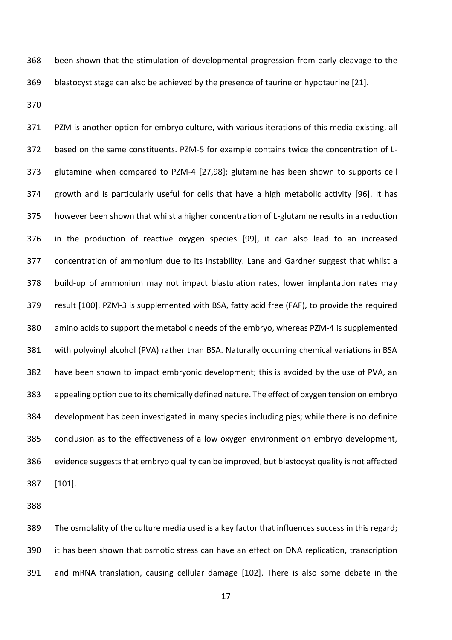been shown that the stimulation of developmental progression from early cleavage to the blastocyst stage can also be achieved by the presence of taurine or hypotaurine [21].

 PZM is another option for embryo culture, with various iterations of this media existing, all based on the same constituents. PZM-5 for example contains twice the concentration of L- glutamine when compared to PZM-4 [27,98]; glutamine has been shown to supports cell growth and is particularly useful for cells that have a high metabolic activity [96]. It has however been shown that whilst a higher concentration of L-glutamine results in a reduction in the production of reactive oxygen species [99], it can also lead to an increased concentration of ammonium due to its instability. Lane and Gardner suggest that whilst a build-up of ammonium may not impact blastulation rates, lower implantation rates may result [100]. PZM-3 is supplemented with BSA, fatty acid free (FAF), to provide the required amino acids to support the metabolic needs of the embryo, whereas PZM-4 is supplemented with polyvinyl alcohol (PVA) rather than BSA. Naturally occurring chemical variations in BSA have been shown to impact embryonic development; this is avoided by the use of PVA, an appealing option due to its chemically defined nature. The effect of oxygen tension on embryo development has been investigated in many species including pigs; while there is no definite conclusion as to the effectiveness of a low oxygen environment on embryo development, evidence suggests that embryo quality can be improved, but blastocyst quality is not affected [101].

 The osmolality of the culture media used is a key factor that influences success in this regard; it has been shown that osmotic stress can have an effect on DNA replication, transcription and mRNA translation, causing cellular damage [102]. There is also some debate in the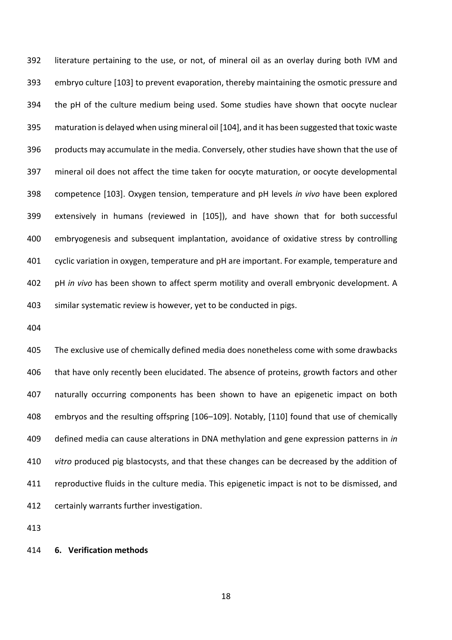literature pertaining to the use, or not, of mineral oil as an overlay during both IVM and embryo culture [103] to prevent evaporation, thereby maintaining the osmotic pressure and the pH of the culture medium being used. Some studies have shown that oocyte nuclear maturation is delayed when using mineral oil [104], and it has been suggested that toxic waste products may accumulate in the media. Conversely, other studies have shown that the use of mineral oil does not affect the time taken for oocyte maturation, or oocyte developmental competence [103]. Oxygen tension, temperature and pH levels *in vivo* have been explored extensively in humans (reviewed in [105]), and have shown that for both successful embryogenesis and subsequent implantation, avoidance of oxidative stress by controlling 401 cyclic variation in oxygen, temperature and pH are important. For example, temperature and pH *in vivo* has been shown to affect sperm motility and overall embryonic development. A similar systematic review is however, yet to be conducted in pigs.

 The exclusive use of chemically defined media does nonetheless come with some drawbacks 406 that have only recently been elucidated. The absence of proteins, growth factors and other naturally occurring components has been shown to have an epigenetic impact on both embryos and the resulting offspring [106–109]. Notably, [110] found that use of chemically defined media can cause alterations in DNA methylation and gene expression patterns in *in vitro* produced pig blastocysts, and that these changes can be decreased by the addition of reproductive fluids in the culture media. This epigenetic impact is not to be dismissed, and certainly warrants further investigation.

#### **6. Verification methods**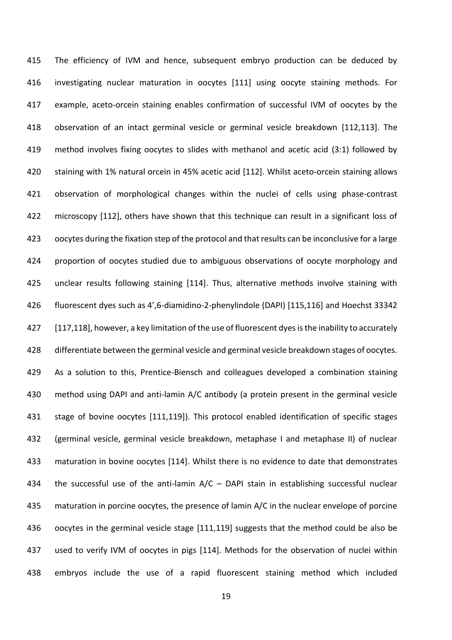The efficiency of IVM and hence, subsequent embryo production can be deduced by investigating nuclear maturation in oocytes [111] using oocyte staining methods. For example, aceto-orcein staining enables confirmation of successful IVM of oocytes by the observation of an intact germinal vesicle or germinal vesicle breakdown [112,113]. The method involves fixing oocytes to slides with methanol and acetic acid (3:1) followed by staining with 1% natural orcein in 45% acetic acid [112]. Whilst aceto-orcein staining allows observation of morphological changes within the nuclei of cells using phase-contrast microscopy [112], others have shown that this technique can result in a significant loss of oocytes during the fixation step of the protocol and that results can be inconclusive for a large proportion of oocytes studied due to ambiguous observations of oocyte morphology and unclear results following staining [114]. Thus, alternative methods involve staining with fluorescent dyes such as 4',6-diamidino-2-phenylindole (DAPI) [115,116] and Hoechst 33342 [117,118], however, a key limitation of the use of fluorescent dyes is the inability to accurately differentiate between the germinal vesicle and germinal vesicle breakdown stages of oocytes. As a solution to this, Prentice-Biensch and colleagues developed a combination staining method using DAPI and anti-lamin A/C antibody (a protein present in the germinal vesicle stage of bovine oocytes [111,119]). This protocol enabled identification of specific stages (germinal vesicle, germinal vesicle breakdown, metaphase I and metaphase II) of nuclear maturation in bovine oocytes [114]. Whilst there is no evidence to date that demonstrates 434 the successful use of the anti-lamin  $A/C - DAPI$  stain in establishing successful nuclear maturation in porcine oocytes, the presence of lamin A/C in the nuclear envelope of porcine oocytes in the germinal vesicle stage [111,119] suggests that the method could be also be used to verify IVM of oocytes in pigs [114]. Methods for the observation of nuclei within embryos include the use of a rapid fluorescent staining method which included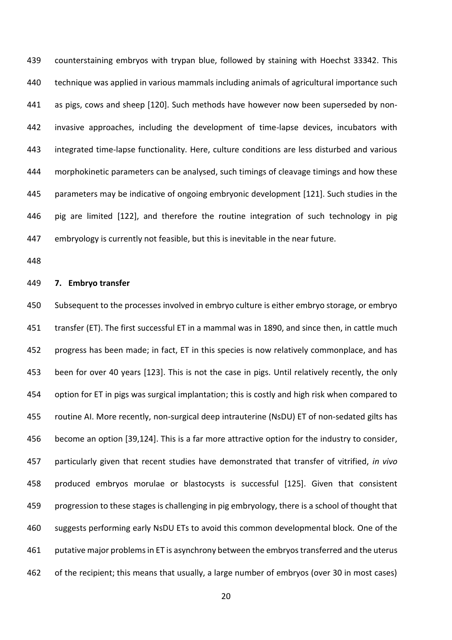counterstaining embryos with trypan blue, followed by staining with Hoechst 33342. This technique was applied in various mammals including animals of agricultural importance such as pigs, cows and sheep [120]. Such methods have however now been superseded by non- invasive approaches, including the development of time-lapse devices, incubators with integrated time-lapse functionality. Here, culture conditions are less disturbed and various morphokinetic parameters can be analysed, such timings of cleavage timings and how these parameters may be indicative of ongoing embryonic development [121]. Such studies in the pig are limited [122], and therefore the routine integration of such technology in pig embryology is currently not feasible, but this is inevitable in the near future.

#### **7. Embryo transfer**

 Subsequent to the processes involved in embryo culture is either embryo storage, or embryo transfer (ET). The first successful ET in a mammal was in 1890, and since then, in cattle much progress has been made; in fact, ET in this species is now relatively commonplace, and has 453 been for over 40 years [123]. This is not the case in pigs. Until relatively recently, the only option for ET in pigs was surgical implantation; this is costly and high risk when compared to routine AI. More recently, non-surgical deep intrauterine (NsDU) ET of non-sedated gilts has become an option [39,124]. This is a far more attractive option for the industry to consider, particularly given that recent studies have demonstrated that transfer of vitrified, *in vivo* produced embryos morulae or blastocysts is successful [125]. Given that consistent progression to these stages is challenging in pig embryology, there is a school of thought that suggests performing early NsDU ETs to avoid this common developmental block. One of the 461 putative major problems in ET is asynchrony between the embryos transferred and the uterus of the recipient; this means that usually, a large number of embryos (over 30 in most cases)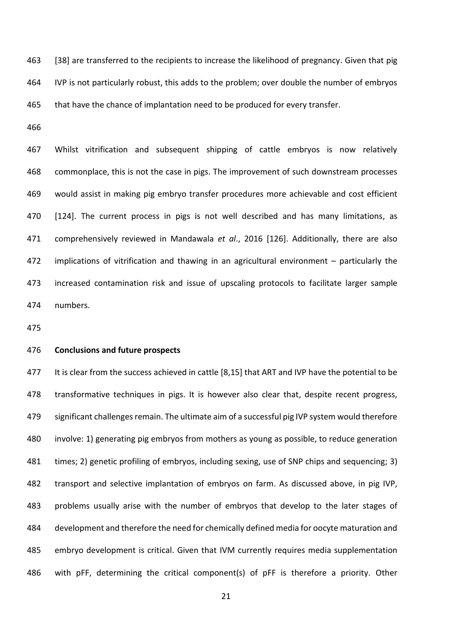463 [38] are transferred to the recipients to increase the likelihood of pregnancy. Given that pig IVP is not particularly robust, this adds to the problem; over double the number of embryos that have the chance of implantation need to be produced for every transfer.

 Whilst vitrification and subsequent shipping of cattle embryos is now relatively commonplace, this is not the case in pigs. The improvement of such downstream processes would assist in making pig embryo transfer procedures more achievable and cost efficient 470 [124]. The current process in pigs is not well described and has many limitations, as comprehensively reviewed in Mandawala *et al*., 2016 [126]. Additionally, there are also implications of vitrification and thawing in an agricultural environment – particularly the increased contamination risk and issue of upscaling protocols to facilitate larger sample numbers.

#### **Conclusions and future prospects**

477 It is clear from the success achieved in cattle [8,15] that ART and IVP have the potential to be 478 transformative techniques in pigs. It is however also clear that, despite recent progress, significant challenges remain. The ultimate aim of a successful pig IVP system would therefore involve: 1) generating pig embryos from mothers as young as possible, to reduce generation times; 2) genetic profiling of embryos, including sexing, use of SNP chips and sequencing; 3) transport and selective implantation of embryos on farm. As discussed above, in pig IVP, problems usually arise with the number of embryos that develop to the later stages of development and therefore the need for chemically defined media for oocyte maturation and embryo development is critical. Given that IVM currently requires media supplementation with pFF, determining the critical component(s) of pFF is therefore a priority. Other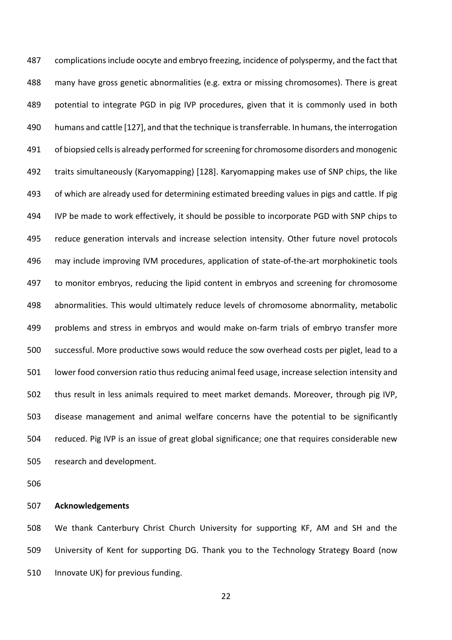487 complications include oocyte and embryo freezing, incidence of polyspermy, and the fact that many have gross genetic abnormalities (e.g. extra or missing chromosomes). There is great potential to integrate PGD in pig IVP procedures, given that it is commonly used in both humans and cattle [127], and that the technique is transferrable. In humans, the interrogation of biopsied cells is already performed for screening for chromosome disorders and monogenic traits simultaneously (Karyomapping) [128]. Karyomapping makes use of SNP chips, the like of which are already used for determining estimated breeding values in pigs and cattle. If pig IVP be made to work effectively, it should be possible to incorporate PGD with SNP chips to 495 reduce generation intervals and increase selection intensity. Other future novel protocols may include improving IVM procedures, application of state-of-the-art morphokinetic tools to monitor embryos, reducing the lipid content in embryos and screening for chromosome abnormalities. This would ultimately reduce levels of chromosome abnormality, metabolic problems and stress in embryos and would make on-farm trials of embryo transfer more successful. More productive sows would reduce the sow overhead costs per piglet, lead to a lower food conversion ratio thus reducing animal feed usage, increase selection intensity and thus result in less animals required to meet market demands. Moreover, through pig IVP, disease management and animal welfare concerns have the potential to be significantly reduced. Pig IVP is an issue of great global significance; one that requires considerable new research and development.

#### **Acknowledgements**

 We thank Canterbury Christ Church University for supporting KF, AM and SH and the University of Kent for supporting DG. Thank you to the Technology Strategy Board (now 510 Innovate UK) for previous funding.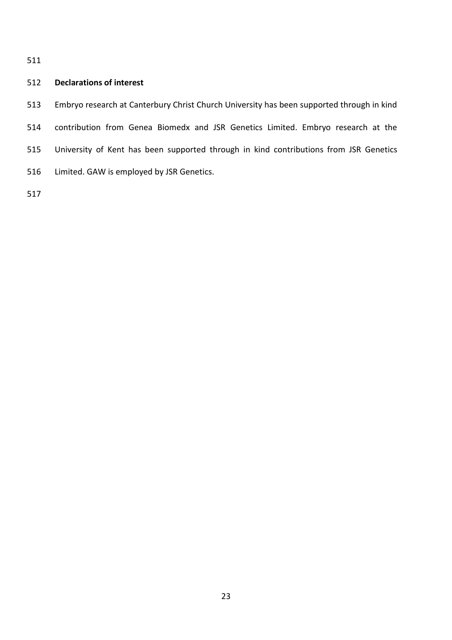#### **Declarations of interest**

 Embryo research at Canterbury Christ Church University has been supported through in kind contribution from Genea Biomedx and JSR Genetics Limited. Embryo research at the University of Kent has been supported through in kind contributions from JSR Genetics Limited. GAW is employed by JSR Genetics.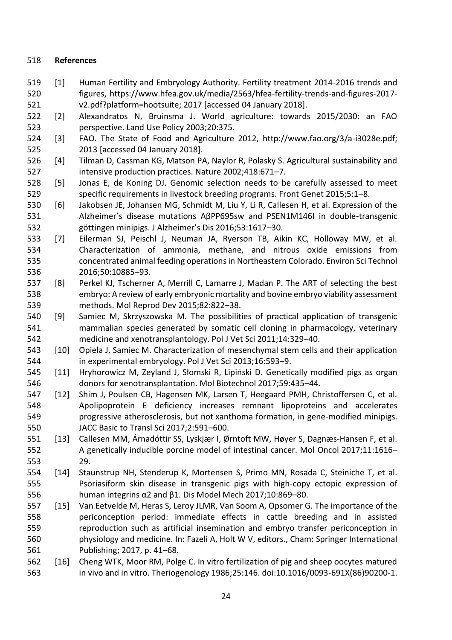#### **References**

- [1] Human Fertility and Embryology Authority. Fertility treatment 2014-2016 trends and figures, https://www.hfea.gov.uk/media/2563/hfea-fertility-trends-and-figures-2017- v2.pdf?platform=hootsuite; 2017 [accessed 04 January 2018].
- [2] Alexandratos N, Bruinsma J. World agriculture: towards 2015/2030: an FAO perspective. Land Use Policy 2003;20:375.
- [3] FAO. The State of Food and Agriculture 2012, http://www.fao.org/3/a-i3028e.pdf; 2013 [accessed 04 January 2018].
- [4] Tilman D, Cassman KG, Matson PA, Naylor R, Polasky S. Agricultural sustainability and intensive production practices. Nature 2002;418:671–7.
- [5] Jonas E, de Koning DJ. Genomic selection needs to be carefully assessed to meet specific requirements in livestock breeding programs. Front Genet 2015;5:1–8.
- [6] Jakobsen JE, Johansen MG, Schmidt M, Liu Y, Li R, Callesen H, et al. Expression of the Alzheimer's disease mutations AβPP695sw and PSEN1M146I in double-transgenic göttingen minipigs. J Alzheimer's Dis 2016;53:1617–30.
- [7] Eilerman SJ, Peischl J, Neuman JA, Ryerson TB, Aikin KC, Holloway MW, et al. Characterization of ammonia, methane, and nitrous oxide emissions from concentrated animal feeding operations in Northeastern Colorado. Environ Sci Technol 2016;50:10885–93.
- [8] Perkel KJ, Tscherner A, Merrill C, Lamarre J, Madan P. The ART of selecting the best embryo: A review of early embryonic mortality and bovine embryo viability assessment methods. Mol Reprod Dev 2015;82:822–38.
- [9] Samiec M, Skrzyszowska M. The possibilities of practical application of transgenic mammalian species generated by somatic cell cloning in pharmacology, veterinary medicine and xenotransplantology. Pol J Vet Sci 2011;14:329–40.
- [10] Opiela J, Samiec M. Characterization of mesenchymal stem cells and their application in experimental embryology. Pol J Vet Sci 2013;16:593–9.
- [11] Hryhorowicz M, Zeyland J, Słomski R, Lipiński D. Genetically modified pigs as organ donors for xenotransplantation. Mol Biotechnol 2017;59:435–44.
- [12] Shim J, Poulsen CB, Hagensen MK, Larsen T, Heegaard PMH, Christoffersen C, et al. Apolipoprotein E deficiency increases remnant lipoproteins and accelerates progressive atherosclerosis, but not xanthoma formation, in gene-modified minipigs. JACC Basic to Transl Sci 2017;2:591–600.
- [13] Callesen MM, Árnadóttir SS, Lyskjær I, Ørntoft MW, Høyer S, Dagnæs‐Hansen F, et al. A genetically inducible porcine model of intestinal cancer. Mol Oncol 2017;11:1616– 29.
- [14] Staunstrup NH, Stenderup K, Mortensen S, Primo MN, Rosada C, Steiniche T, et al. Psoriasiform skin disease in transgenic pigs with high-copy ectopic expression of human integrins α2 and β1. Dis Model Mech 2017;10:869–80.
- [15] Van Eetvelde M, Heras S, Leroy JLMR, Van Soom A, Opsomer G. The importance of the periconception period: immediate effects in cattle breeding and in assisted reproduction such as artificial insemination and embryo transfer periconception in physiology and medicine. In: Fazeli A, Holt W V, editors., Cham: Springer International Publishing; 2017, p. 41–68.
- [16] Cheng WTK, Moor RM, Polge C. In vitro fertilization of pig and sheep oocytes matured in vivo and in vitro. Theriogenology 1986;25:146. doi:10.1016/0093-691X(86)90200-1.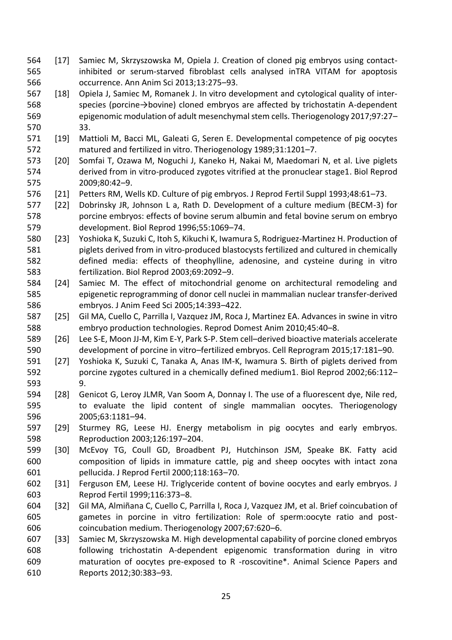- [17] Samiec M, Skrzyszowska M, Opiela J. Creation of cloned pig embryos using contact- inhibited or serum-starved fibroblast cells analysed inTRA VITAM for apoptosis occurrence. Ann Anim Sci 2013;13:275–93.
- [18] Opiela J, Samiec M, Romanek J. In vitro development and cytological quality of inter- species (porcine→bovine) cloned embryos are affected by trichostatin A-dependent epigenomic modulation of adult mesenchymal stem cells. Theriogenology 2017;97:27– 33.
- [19] Mattioli M, Bacci ML, Galeati G, Seren E. Developmental competence of pig oocytes matured and fertilized in vitro. Theriogenology 1989;31:1201–7.
- [20] Somfai T, Ozawa M, Noguchi J, Kaneko H, Nakai M, Maedomari N, et al. Live piglets derived from in vitro-produced zygotes vitrified at the pronuclear stage1. Biol Reprod 2009;80:42–9.
- [21] Petters RM, Wells KD. Culture of pig embryos. J Reprod Fertil Suppl 1993;48:61–73.
- [22] Dobrinsky JR, Johnson L a, Rath D. Development of a culture medium (BECM-3) for porcine embryos: effects of bovine serum albumin and fetal bovine serum on embryo development. Biol Reprod 1996;55:1069–74.
- [23] Yoshioka K, Suzuki C, Itoh S, Kikuchi K, Iwamura S, Rodriguez-Martinez H. Production of piglets derived from in vitro-produced blastocysts fertilized and cultured in chemically defined media: effects of theophylline, adenosine, and cysteine during in vitro fertilization. Biol Reprod 2003;69:2092–9.
- [24] Samiec M. The effect of mitochondrial genome on architectural remodeling and epigenetic reprogramming of donor cell nuclei in mammalian nuclear transfer-derived embryos. J Anim Feed Sci 2005;14:393–422.
- [25] Gil MA, Cuello C, Parrilla I, Vazquez JM, Roca J, Martinez EA. Advances in swine in vitro embryo production technologies. Reprod Domest Anim 2010;45:40–8.
- [26] Lee S-E, Moon JJ-M, Kim E-Y, Park S-P. Stem cell–derived bioactive materials accelerate development of porcine in vitro–fertilized embryos. Cell Reprogram 2015;17:181–90.
- [27] Yoshioka K, Suzuki C, Tanaka A, Anas IM-K, Iwamura S. Birth of piglets derived from porcine zygotes cultured in a chemically defined medium1. Biol Reprod 2002;66:112– 9.
- [28] Genicot G, Leroy JLMR, Van Soom A, Donnay I. The use of a fluorescent dye, Nile red, to evaluate the lipid content of single mammalian oocytes. Theriogenology 2005;63:1181–94.
- [29] Sturmey RG, Leese HJ. Energy metabolism in pig oocytes and early embryos. Reproduction 2003;126:197–204.
- [30] McEvoy TG, Coull GD, Broadbent PJ, Hutchinson JSM, Speake BK. Fatty acid composition of lipids in immature cattle, pig and sheep oocytes with intact zona pellucida. J Reprod Fertil 2000;118:163–70.
- [31] Ferguson EM, Leese HJ. Triglyceride content of bovine oocytes and early embryos. J Reprod Fertil 1999;116:373–8.
- [32] Gil MA, Almiñana C, Cuello C, Parrilla I, Roca J, Vazquez JM, et al. Brief coincubation of gametes in porcine in vitro fertilization: Role of sperm:oocyte ratio and post-coincubation medium. Theriogenology 2007;67:620–6.
- [33] Samiec M, Skrzyszowska M. High developmental capability of porcine cloned embryos following trichostatin A-dependent epigenomic transformation during in vitro maturation of oocytes pre-exposed to R -roscovitine\*. Animal Science Papers and Reports 2012;30:383–93.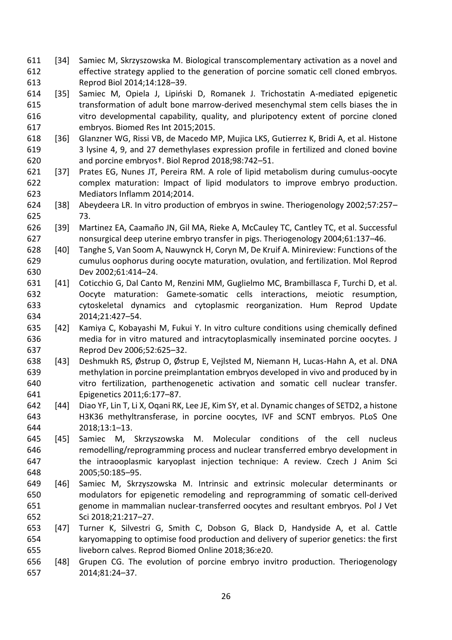- [34] Samiec M, Skrzyszowska M. Biological transcomplementary activation as a novel and effective strategy applied to the generation of porcine somatic cell cloned embryos. Reprod Biol 2014;14:128–39.
- [35] Samiec M, Opiela J, Lipiński D, Romanek J. Trichostatin A-mediated epigenetic transformation of adult bone marrow-derived mesenchymal stem cells biases the in vitro developmental capability, quality, and pluripotency extent of porcine cloned embryos. Biomed Res Int 2015;2015.
- [36] Glanzner WG, Rissi VB, de Macedo MP, Mujica LKS, Gutierrez K, Bridi A, et al. Histone 3 lysine 4, 9, and 27 demethylases expression profile in fertilized and cloned bovine and porcine embryos†. Biol Reprod 2018;98:742–51.
- [37] Prates EG, Nunes JT, Pereira RM. A role of lipid metabolism during cumulus-oocyte complex maturation: Impact of lipid modulators to improve embryo production. Mediators Inflamm 2014;2014.
- [38] Abeydeera LR. In vitro production of embryos in swine. Theriogenology 2002;57:257– 73.
- [39] Martinez EA, Caamaño JN, Gil MA, Rieke A, McCauley TC, Cantley TC, et al. Successful nonsurgical deep uterine embryo transfer in pigs. Theriogenology 2004;61:137–46.
- [40] Tanghe S, Van Soom A, Nauwynck H, Coryn M, De Kruif A. Minireview: Functions of the cumulus oophorus during oocyte maturation, ovulation, and fertilization. Mol Reprod Dev 2002;61:414–24.
- [41] Coticchio G, Dal Canto M, Renzini MM, Guglielmo MC, Brambillasca F, Turchi D, et al. Oocyte maturation: Gamete-somatic cells interactions, meiotic resumption, cytoskeletal dynamics and cytoplasmic reorganization. Hum Reprod Update 2014;21:427–54.
- [42] Kamiya C, Kobayashi M, Fukui Y. In vitro culture conditions using chemically defined media for in vitro matured and intracytoplasmically inseminated porcine oocytes. J Reprod Dev 2006;52:625–32.
- [43] Deshmukh RS, Østrup O, Østrup E, Vejlsted M, Niemann H, Lucas-Hahn A, et al. DNA methylation in porcine preimplantation embryos developed in vivo and produced by in vitro fertilization, parthenogenetic activation and somatic cell nuclear transfer. Epigenetics 2011;6:177–87.
- [44] Diao YF, Lin T, Li X, Oqani RK, Lee JE, Kim SY, et al. Dynamic changes of SETD2, a histone H3K36 methyltransferase, in porcine oocytes, IVF and SCNT embryos. PLoS One 2018;13:1–13.
- [45] Samiec M, Skrzyszowska M. Molecular conditions of the cell nucleus remodelling/reprogramming process and nuclear transferred embryo development in the intraooplasmic karyoplast injection technique: A review. Czech J Anim Sci 2005;50:185–95.
- [46] Samiec M, Skrzyszowska M. Intrinsic and extrinsic molecular determinants or modulators for epigenetic remodeling and reprogramming of somatic cell-derived genome in mammalian nuclear-transferred oocytes and resultant embryos. Pol J Vet Sci 2018;21:217–27.
- [47] Turner K, Silvestri G, Smith C, Dobson G, Black D, Handyside A, et al. Cattle karyomapping to optimise food production and delivery of superior genetics: the first liveborn calves. Reprod Biomed Online 2018;36:e20.
- [48] Grupen CG. The evolution of porcine embryo invitro production. Theriogenology 2014;81:24–37.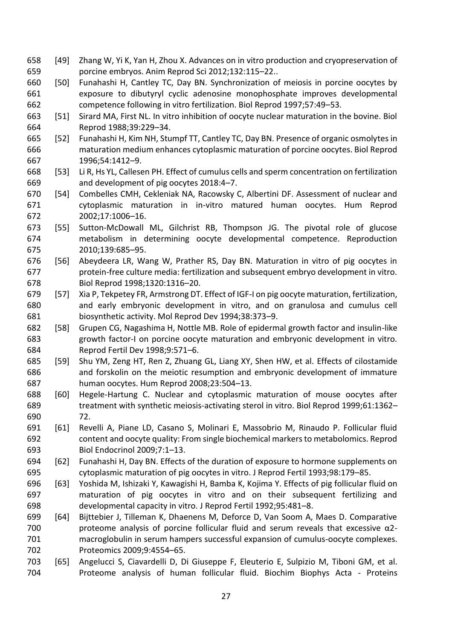- [49] Zhang W, Yi K, Yan H, Zhou X. Advances on in vitro production and cryopreservation of porcine embryos. Anim Reprod Sci 2012;132:115–22..
- [50] Funahashi H, Cantley TC, Day BN. Synchronization of meiosis in porcine oocytes by exposure to dibutyryl cyclic adenosine monophosphate improves developmental competence following in vitro fertilization. Biol Reprod 1997;57:49–53.
- [51] Sirard MA, First NL. In vitro inhibition of oocyte nuclear maturation in the bovine. Biol Reprod 1988;39:229–34.
- [52] Funahashi H, Kim NH, Stumpf TT, Cantley TC, Day BN. Presence of organic osmolytes in maturation medium enhances cytoplasmic maturation of porcine oocytes. Biol Reprod 1996;54:1412–9.
- [53] Li R, Hs YL, Callesen PH. Effect of cumulus cells and sperm concentration on fertilization and development of pig oocytes 2018:4–7.
- [54] Combelles CMH, Cekleniak NA, Racowsky C, Albertini DF. Assessment of nuclear and cytoplasmic maturation in in-vitro matured human oocytes. Hum Reprod 2002;17:1006–16.
- [55] Sutton-McDowall ML, Gilchrist RB, Thompson JG. The pivotal role of glucose metabolism in determining oocyte developmental competence. Reproduction 2010;139:685–95.
- [56] Abeydeera LR, Wang W, Prather RS, Day BN. Maturation in vitro of pig oocytes in protein-free culture media: fertilization and subsequent embryo development in vitro*.* Biol Reprod 1998;1320:1316–20.
- [57] Xia P, Tekpetey FR, Armstrong DT. Effect of IGF-I on pig oocyte maturation, fertilization, and early embryonic development in vitro, and on granulosa and cumulus cell biosynthetic activity. Mol Reprod Dev 1994;38:373–9.
- [58] Grupen CG, Nagashima H, Nottle MB. Role of epidermal growth factor and insulin-like growth factor-I on porcine oocyte maturation and embryonic development in vitro. Reprod Fertil Dev 1998;9:571–6.
- [59] Shu YM, Zeng HT, Ren Z, Zhuang GL, Liang XY, Shen HW, et al. Effects of cilostamide and forskolin on the meiotic resumption and embryonic development of immature human oocytes. Hum Reprod 2008;23:504–13.
- [60] Hegele-Hartung C. Nuclear and cytoplasmic maturation of mouse oocytes after treatment with synthetic meiosis-activating sterol in vitro. Biol Reprod 1999;61:1362– 72.
- [61] Revelli A, Piane LD, Casano S, Molinari E, Massobrio M, Rinaudo P. Follicular fluid content and oocyte quality: From single biochemical markers to metabolomics. Reprod Biol Endocrinol 2009;7:1–13.
- [62] Funahashi H, Day BN. Effects of the duration of exposure to hormone supplements on cytoplasmic maturation of pig oocytes in vitro. J Reprod Fertil 1993;98:179–85.
- [63] Yoshida M, Ishizaki Y, Kawagishi H, Bamba K, Kojima Y. Effects of pig follicular fluid on maturation of pig oocytes in vitro and on their subsequent fertilizing and developmental capacity in vitro. J Reprod Fertil 1992;95:481–8.
- [64] Bijttebier J, Tilleman K, Dhaenens M, Deforce D, Van Soom A, Maes D. Comparative proteome analysis of porcine follicular fluid and serum reveals that excessive α2- macroglobulin in serum hampers successful expansion of cumulus-oocyte complexes. Proteomics 2009;9:4554–65.
- [65] Angelucci S, Ciavardelli D, Di Giuseppe F, Eleuterio E, Sulpizio M, Tiboni GM, et al. Proteome analysis of human follicular fluid. Biochim Biophys Acta - Proteins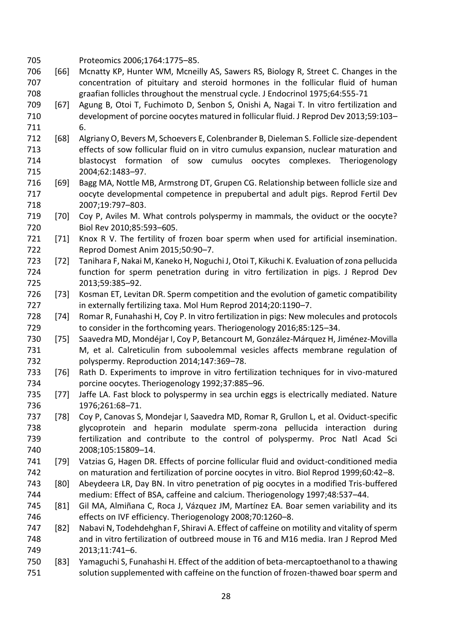Proteomics 2006;1764:1775–85.

- [66] Mcnatty KP, Hunter WM, Mcneilly AS, Sawers RS, Biology R, Street C. Changes in the concentration of pituitary and steroid hormones in the follicular fluid of human graafian follicles throughout the menstrual cycle. J Endocrinol 1975;64:555-71
- [67] Agung B, Otoi T, Fuchimoto D, Senbon S, Onishi A, Nagai T. In vitro fertilization and development of porcine oocytes matured in follicular fluid. J Reprod Dev 2013;59:103– 6.
- [68] Algriany O, Bevers M, Schoevers E, Colenbrander B, Dieleman S. Follicle size-dependent effects of sow follicular fluid on in vitro cumulus expansion, nuclear maturation and blastocyst formation of sow cumulus oocytes complexes. Theriogenology 2004;62:1483–97.
- [69] Bagg MA, Nottle MB, Armstrong DT, Grupen CG. Relationship between follicle size and oocyte developmental competence in prepubertal and adult pigs. Reprod Fertil Dev 2007;19:797–803.
- [70] Coy P, Aviles M. What controls polyspermy in mammals, the oviduct or the oocyte? Biol Rev 2010;85:593–605.
- [71] Knox R V. The fertility of frozen boar sperm when used for artificial insemination. Reprod Domest Anim 2015;50:90–7.
- [72] Tanihara F, Nakai M, Kaneko H, Noguchi J, Otoi T, Kikuchi K. Evaluation of zona pellucida function for sperm penetration during in vitro fertilization in pigs. J Reprod Dev 2013;59:385–92.
- [73] Kosman ET, Levitan DR. Sperm competition and the evolution of gametic compatibility 727 in externally fertilizing taxa. Mol Hum Reprod 2014;20:1190-7.
- [74] Romar R, Funahashi H, Coy P. In vitro fertilization in pigs: New molecules and protocols to consider in the forthcoming years. Theriogenology 2016;85:125–34.
- [75] Saavedra MD, Mondéjar I, Coy P, Betancourt M, González-Márquez H, Jiménez-Movilla M, et al. Calreticulin from suboolemmal vesicles affects membrane regulation of polyspermy. Reproduction 2014;147:369–78.
- [76] Rath D. Experiments to improve in vitro fertilization techniques for in vivo-matured porcine oocytes. Theriogenology 1992;37:885–96.
- [77] Jaffe LA. Fast block to polyspermy in sea urchin eggs is electrically mediated. Nature 1976;261:68–71.
- [78] Coy P, Canovas S, Mondejar I, Saavedra MD, Romar R, Grullon L, et al. Oviduct-specific glycoprotein and heparin modulate sperm-zona pellucida interaction during fertilization and contribute to the control of polyspermy. Proc Natl Acad Sci 2008;105:15809–14.
- [79] Vatzias G, Hagen DR. Effects of porcine follicular fluid and oviduct-conditioned media on maturation and fertilization of porcine oocytes in vitro. Biol Reprod 1999;60:42–8.
- [80] Abeydeera LR, Day BN. In vitro penetration of pig oocytes in a modified Tris-buffered medium: Effect of BSA, caffeine and calcium. Theriogenology 1997;48:537–44.
- [81] Gil MA, Almiñana C, Roca J, Vázquez JM, Martínez EA. Boar semen variability and its effects on IVF efficiency. Theriogenology 2008;70:1260–8.
- [82] Nabavi N, Todehdehghan F, Shiravi A. Effect of caffeine on motility and vitality of sperm and in vitro fertilization of outbreed mouse in T6 and M16 media. Iran J Reprod Med 2013;11:741–6.
- [83] Yamaguchi S, Funahashi H. Effect of the addition of beta-mercaptoethanol to a thawing solution supplemented with caffeine on the function of frozen-thawed boar sperm and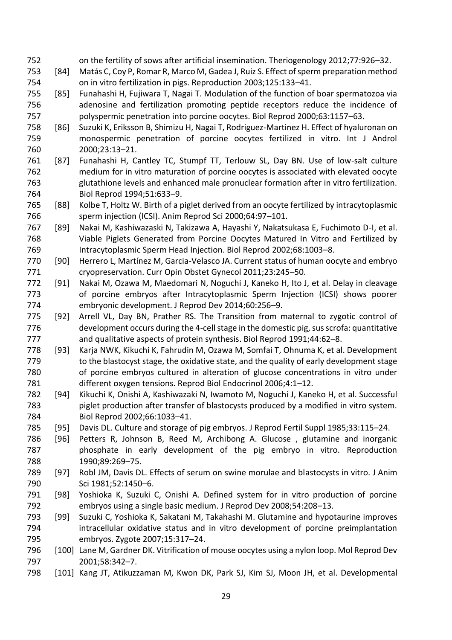- on the fertility of sows after artificial insemination. Theriogenology 2012;77:926–32.
- [84] Matás C, Coy P, Romar R, Marco M, Gadea J, Ruiz S. Effect of sperm preparation method on in vitro fertilization in pigs. Reproduction 2003;125:133–41.
- [85] Funahashi H, Fujiwara T, Nagai T. Modulation of the function of boar spermatozoa via adenosine and fertilization promoting peptide receptors reduce the incidence of polyspermic penetration into porcine oocytes. Biol Reprod 2000;63:1157–63.
- [86] Suzuki K, Eriksson B, Shimizu H, Nagai T, Rodriguez-Martinez H. Effect of hyaluronan on monospermic penetration of porcine oocytes fertilized in vitro. Int J Androl 2000;23:13–21.
- [87] Funahashi H, Cantley TC, Stumpf TT, Terlouw SL, Day BN. Use of low-salt culture medium for in vitro maturation of porcine oocytes is associated with elevated oocyte glutathione levels and enhanced male pronuclear formation after in vitro fertilization. Biol Reprod 1994;51:633–9.
- [88] Kolbe T, Holtz W. Birth of a piglet derived from an oocyte fertilized by intracytoplasmic sperm injection (ICSI). Anim Reprod Sci 2000;64:97–101.
- [89] Nakai M, Kashiwazaski N, Takizawa A, Hayashi Y, Nakatsukasa E, Fuchimoto D-I, et al. Viable Piglets Generated from Porcine Oocytes Matured In Vitro and Fertilized by Intracytoplasmic Sperm Head Injection. Biol Reprod 2002;68:1003–8.
- [90] Herrero L, Martínez M, Garcia-Velasco JA. Current status of human oocyte and embryo cryopreservation. Curr Opin Obstet Gynecol 2011;23:245–50.
- [91] Nakai M, Ozawa M, Maedomari N, Noguchi J, Kaneko H, Ito J, et al. Delay in cleavage of porcine embryos after Intracytoplasmic Sperm Injection (ICSI) shows poorer embryonic development. J Reprod Dev 2014;60:256–9.
- [92] Arrell VL, Day BN, Prather RS. The Transition from maternal to zygotic control of development occurs during the 4-cell stage in the domestic pig, sus scrofa: quantitative and qualitative aspects of protein synthesis. Biol Reprod 1991;44:62–8.
- [93] Karja NWK, Kikuchi K, Fahrudin M, Ozawa M, Somfai T, Ohnuma K, et al. Development 779 to the blastocyst stage, the oxidative state, and the quality of early development stage of porcine embryos cultured in alteration of glucose concentrations in vitro under different oxygen tensions. Reprod Biol Endocrinol 2006;4:1–12.
- [94] Kikuchi K, Onishi A, Kashiwazaki N, Iwamoto M, Noguchi J, Kaneko H, et al. Successful piglet production after transfer of blastocysts produced by a modified in vitro system. Biol Reprod 2002;66:1033–41.
- [95] Davis DL. Culture and storage of pig embryos. J Reprod Fertil Suppl 1985;33:115–24.
- [96] Petters R, Johnson B, Reed M, Archibong A. Glucose , glutamine and inorganic phosphate in early development of the pig embryo in vitro. Reproduction 1990;89:269–75.
- [97] Robl JM, Davis DL. Effects of serum on swine morulae and blastocysts in vitro. J Anim Sci 1981;52:1450–6.
- [98] Yoshioka K, Suzuki C, Onishi A. Defined system for in vitro production of porcine embryos using a single basic medium. J Reprod Dev 2008;54:208–13.
- [99] Suzuki C, Yoshioka K, Sakatani M, Takahashi M. Glutamine and hypotaurine improves intracellular oxidative status and in vitro development of porcine preimplantation embryos. Zygote 2007;15:317–24.
- [100] Lane M, Gardner DK. Vitrification of mouse oocytes using a nylon loop. Mol Reprod Dev 2001;58:342–7.
- [101] Kang JT, Atikuzzaman M, Kwon DK, Park SJ, Kim SJ, Moon JH, et al. Developmental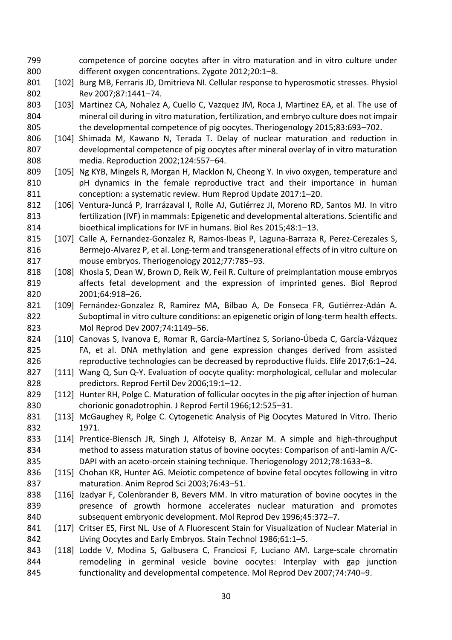- competence of porcine oocytes after in vitro maturation and in vitro culture under different oxygen concentrations. Zygote 2012;20:1–8.
- [102] Burg MB, Ferraris JD, Dmitrieva NI. Cellular response to hyperosmotic stresses. Physiol Rev 2007;87:1441–74.
- 803 [103] Martinez CA, Nohalez A, Cuello C, Vazquez JM, Roca J, Martinez EA, et al. The use of mineral oil during in vitro maturation, fertilization, and embryo culture does not impair the developmental competence of pig oocytes. Theriogenology 2015;83:693–702.
- [104] Shimada M, Kawano N, Terada T. Delay of nuclear maturation and reduction in developmental competence of pig oocytes after mineral overlay of in vitro maturation media. Reproduction 2002;124:557–64.
- 809 [105] Ng KYB, Mingels R, Morgan H, Macklon N, Cheong Y. In vivo oxygen, temperature and pH dynamics in the female reproductive tract and their importance in human conception: a systematic review. Hum Reprod Update 2017:1–20.
- [106] Ventura-Juncá P, Irarrázaval I, Rolle AJ, Gutiérrez JI, Moreno RD, Santos MJ. In vitro fertilization (IVF) in mammals: Epigenetic and developmental alterations. Scientific and bioethical implications for IVF in humans. Biol Res 2015;48:1–13.
- 815 [107] Calle A, Fernandez-Gonzalez R, Ramos-Ibeas P, Laguna-Barraza R, Perez-Cerezales S, Bermejo-Alvarez P, et al. Long-term and transgenerational effects of in vitro culture on mouse embryos. Theriogenology 2012;77:785–93.
- 818 [108] Khosla S, Dean W, Brown D, Reik W, Feil R. Culture of preimplantation mouse embryos affects fetal development and the expression of imprinted genes. Biol Reprod 2001;64:918–26.
- 821 [109] Fernández-Gonzalez R, Ramirez MA, Bilbao A, De Fonseca FR, Gutiérrez-Adán A. 822 Suboptimal in vitro culture conditions: an epigenetic origin of long-term health effects. Mol Reprod Dev 2007;74:1149–56.
- [110] Canovas S, Ivanova E, Romar R, García-Martínez S, Soriano-Úbeda C, García-Vázquez FA, et al. DNA methylation and gene expression changes derived from assisted reproductive technologies can be decreased by reproductive fluids. Elife 2017;6:1–24.
- 827 [111] Wang Q, Sun Q-Y. Evaluation of oocyte quality: morphological, cellular and molecular predictors. Reprod Fertil Dev 2006;19:1–12.
- 829 [112] Hunter RH, Polge C. Maturation of follicular oocytes in the pig after injection of human chorionic gonadotrophin. J Reprod Fertil 1966;12:525–31.
- 831 [113] McGaughey R, Polge C. Cytogenetic Analysis of Pig Oocytes Matured In Vitro. Therio 1971.
- [114] Prentice-Biensch JR, Singh J, Alfoteisy B, Anzar M. A simple and high-throughput method to assess maturation status of bovine oocytes: Comparison of anti-lamin A/C-DAPI with an aceto-orcein staining technique. Theriogenology 2012;78:1633–8.
- [115] Chohan KR, Hunter AG. Meiotic competence of bovine fetal oocytes following in vitro maturation. Anim Reprod Sci 2003;76:43–51.
- [116] Izadyar F, Colenbrander B, Bevers MM. In vitro maturation of bovine oocytes in the presence of growth hormone accelerates nuclear maturation and promotes subsequent embryonic development. Mol Reprod Dev 1996;45:372–7.
- 841 [117] Critser ES, First NL. Use of A Fluorescent Stain for Visualization of Nuclear Material in Living Oocytes and Early Embryos. Stain Technol 1986;61:1–5.
- [118] Lodde V, Modina S, Galbusera C, Franciosi F, Luciano AM. Large-scale chromatin remodeling in germinal vesicle bovine oocytes: Interplay with gap junction functionality and developmental competence. Mol Reprod Dev 2007;74:740–9.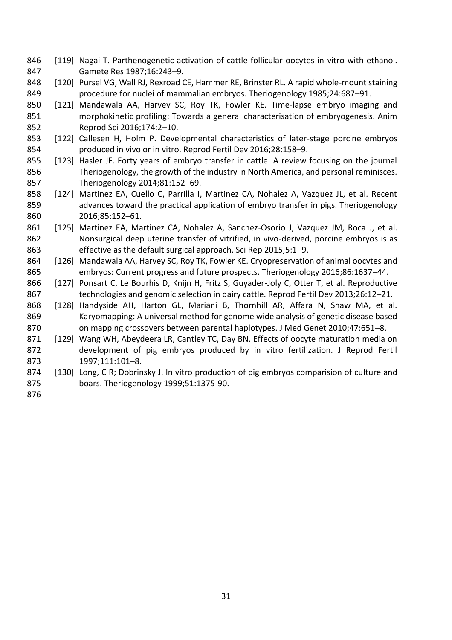- 846 [119] Nagai T. Parthenogenetic activation of cattle follicular oocytes in vitro with ethanol. Gamete Res 1987;16:243–9.
- [120] Pursel VG, Wall RJ, Rexroad CE, Hammer RE, Brinster RL. A rapid whole-mount staining procedure for nuclei of mammalian embryos. Theriogenology 1985;24:687–91.
- [121] Mandawala AA, Harvey SC, Roy TK, Fowler KE. Time-lapse embryo imaging and morphokinetic profiling: Towards a general characterisation of embryogenesis. Anim Reprod Sci 2016;174:2–10.
- [122] Callesen H, Holm P. Developmental characteristics of later-stage porcine embryos produced in vivo or in vitro. Reprod Fertil Dev 2016;28:158–9.
- [123] Hasler JF. Forty years of embryo transfer in cattle: A review focusing on the journal Theriogenology, the growth of the industry in North America, and personal reminisces. Theriogenology 2014;81:152–69.
- [124] Martinez EA, Cuello C, Parrilla I, Martinez CA, Nohalez A, Vazquez JL, et al. Recent advances toward the practical application of embryo transfer in pigs. Theriogenology 2016;85:152–61.
- [125] Martinez EA, Martinez CA, Nohalez A, Sanchez-Osorio J, Vazquez JM, Roca J, et al. Nonsurgical deep uterine transfer of vitrified, in vivo-derived, porcine embryos is as effective as the default surgical approach. Sci Rep 2015;5:1–9.
- [126] Mandawala AA, Harvey SC, Roy TK, Fowler KE. Cryopreservation of animal oocytes and embryos: Current progress and future prospects. Theriogenology 2016;86:1637–44.
- [127] Ponsart C, Le Bourhis D, Knijn H, Fritz S, Guyader-Joly C, Otter T, et al. Reproductive technologies and genomic selection in dairy cattle. Reprod Fertil Dev 2013;26:12–21.
- [128] Handyside AH, Harton GL, Mariani B, Thornhill AR, Affara N, Shaw MA, et al. Karyomapping: A universal method for genome wide analysis of genetic disease based on mapping crossovers between parental haplotypes. J Med Genet 2010;47:651–8.
- [129] Wang WH, Abeydeera LR, Cantley TC, Day BN. Effects of oocyte maturation media on development of pig embryos produced by in vitro fertilization. J Reprod Fertil 1997;111:101–8.
- 874 [130] Long, C R; Dobrinsky J. In vitro production of pig embryos comparision of culture and boars. Theriogenology 1999;51:1375-90.
-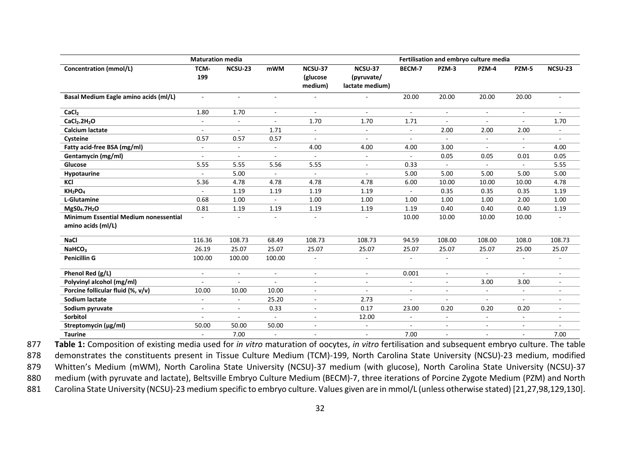| <b>Maturation media</b>                                            |             |                |                          |                                | Fertilisation and embryo culture media   |                          |                          |                          |                          |         |
|--------------------------------------------------------------------|-------------|----------------|--------------------------|--------------------------------|------------------------------------------|--------------------------|--------------------------|--------------------------|--------------------------|---------|
| <b>Concentration (mmol/L)</b>                                      | TCM-<br>199 | NCSU-23        | <b>mWM</b>               | NCSU-37<br>(glucose<br>medium) | NCSU-37<br>(pyruvate/<br>lactate medium) | BECM-7                   | PZM-3                    | PZM-4                    | PZM-5                    | NCSU-23 |
| Basal Medium Eagle amino acids (ml/L)                              | $\sim$      | $\sim$         | $\bar{a}$                |                                | $\overline{a}$                           | 20.00                    | 20.00                    | 20.00                    | 20.00                    |         |
| CaCl <sub>2</sub>                                                  | 1.80        | 1.70           | $\blacksquare$           | $\omega$                       | $\sim$                                   | $\sim$                   | $\sim$                   | $\sim$                   | $\sim$                   | $\sim$  |
| CaCl <sub>2</sub> .2H <sub>2</sub> O                               | $\sim$      | $\blacksquare$ | ä,                       | 1.70                           | 1.70                                     | 1.71                     |                          | ÷,                       | $\sim$                   | 1.70    |
| Calcium lactate                                                    | $\sim$      | $\blacksquare$ | 1.71                     | $\blacksquare$                 | $\blacksquare$                           | $\sim$                   | 2.00                     | 2.00                     | 2.00                     |         |
| Cysteine                                                           | 0.57        | 0.57           | 0.57                     | $\blacksquare$                 | $\overline{\phantom{a}}$                 | $\blacksquare$           | $\sim$                   | $\overline{\phantom{a}}$ | $\overline{\phantom{a}}$ | $\sim$  |
| Fatty acid-free BSA (mg/ml)                                        | $\sim$      | $\sim$         | $\overline{\phantom{a}}$ | 4.00                           | 4.00                                     | 4.00                     | 3.00                     | $\sim$                   | $\sim$                   | 4.00    |
| Gentamycin (mg/ml)                                                 | $\sim$      | ÷.             | L,                       | $\sim$                         | $\blacksquare$                           |                          | 0.05                     | 0.05                     | 0.01                     | 0.05    |
| Glucose                                                            | 5.55        | 5.55           | 5.56                     | 5.55                           | $\overline{\phantom{a}}$                 | 0.33                     | $\blacksquare$           | $\blacksquare$           | $\overline{\phantom{a}}$ | 5.55    |
| Hypotaurine                                                        | $\sim$      | 5.00           | $\sim$                   | $\sim$                         | ÷.                                       | 5.00                     | 5.00                     | 5.00                     | 5.00                     | 5.00    |
| KCI                                                                | 5.36        | 4.78           | 4.78                     | 4.78                           | 4.78                                     | 6.00                     | 10.00                    | 10.00                    | 10.00                    | 4.78    |
| KH <sub>2</sub> PO <sub>4</sub>                                    |             | 1.19           | 1.19                     | 1.19                           | 1.19                                     |                          | 0.35                     | 0.35                     | 0.35                     | 1.19    |
| L-Glutamine                                                        | 0.68        | 1.00           | $\sim$                   | 1.00                           | 1.00                                     | 1.00                     | 1.00                     | 1.00                     | 2.00                     | 1.00    |
| MgS0 <sub>4</sub> .7H <sub>2</sub> O                               | 0.81        | 1.19           | 1.19                     | 1.19                           | 1.19                                     | 1.19                     | 0.40                     | 0.40                     | 0.40                     | 1.19    |
| <b>Minimum Essential Medium nonessential</b><br>amino acids (ml/L) |             |                | ÷,                       |                                | $\blacksquare$                           | 10.00                    | 10.00                    | 10.00                    | 10.00                    |         |
| <b>NaCl</b>                                                        | 116.36      | 108.73         | 68.49                    | 108.73                         | 108.73                                   | 94.59                    | 108.00                   | 108.00                   | 108.0                    | 108.73  |
| NaHCO <sub>3</sub>                                                 | 26.19       | 25.07          | 25.07                    | 25.07                          | 25.07                                    | 25.07                    | 25.07                    | 25.07                    | 25.00                    | 25.07   |
| <b>Penicillin G</b>                                                | 100.00      | 100.00         | 100.00                   | $\blacksquare$                 | $\blacksquare$                           | $\blacksquare$           |                          | $\mathbf{r}$             | $\sim$                   |         |
| Phenol Red (g/L)                                                   | $\sim$      | $\overline{a}$ | $\overline{a}$           |                                | $\blacksquare$                           | 0.001                    | $\sim$                   | $\mathbf{r}$             | $\sim$                   |         |
| Polyvinyl alcohol (mg/ml)                                          |             |                | ä,                       | $\overline{\phantom{a}}$       | $\blacksquare$                           | $\blacksquare$           |                          | 3.00                     | 3.00                     |         |
| Porcine follicular fluid (%, v/v)                                  | 10.00       | 10.00          | 10.00                    | $\blacksquare$                 | $\blacksquare$                           | $\overline{\phantom{a}}$ | $\overline{\phantom{a}}$ | $\sim$                   | $\overline{\phantom{a}}$ |         |
| <b>Sodium lactate</b>                                              | $\sim$      | $\sim$         | 25.20                    | $\sim$                         | 2.73                                     | $\sim$                   | $\sim$                   | $\sim$                   | $\sim$                   |         |
| Sodium pyruvate                                                    | $\sim$      | $\sim$         | 0.33                     |                                | 0.17                                     | 23.00                    | 0.20                     | 0.20                     | 0.20                     |         |
| <b>Sorbitol</b>                                                    |             |                |                          |                                | 12.00                                    | $\blacksquare$           |                          | $\overline{\phantom{a}}$ | $\sim$                   |         |
| Streptomycin (µg/ml)                                               | 50.00       | 50.00          | 50.00                    | $\sim$                         | $\overline{\phantom{a}}$                 | $\blacksquare$           | $\sim$                   | $\overline{\phantom{a}}$ | $\sim$                   |         |
| <b>Taurine</b>                                                     |             | 7.00           | $\sim$                   |                                | $\blacksquare$                           | 7.00                     |                          | $\overline{\phantom{a}}$ | $\overline{\phantom{m}}$ | 7.00    |

877 **Table 1:** Composition of existing media used for *in vitro* maturation of oocytes, *in vitro* fertilisation and subsequent embryo culture. The table

878 demonstrates the constituents present in Tissue Culture Medium (TCM)-199, North Carolina State University (NCSU)-23 medium, modified

879 Whitten's Medium (mWM), North Carolina State University (NCSU)-37 medium (with glucose), North Carolina State University (NCSU)-37 880 medium (with pyruvate and lactate), Beltsville Embryo Culture Medium (BECM)-7, three iterations of Porcine Zygote Medium (PZM) and North

881 Carolina State University (NCSU)-23 medium specific to embryo culture. Values given are in mmol/L (unless otherwise stated) [21,27,98,129,130].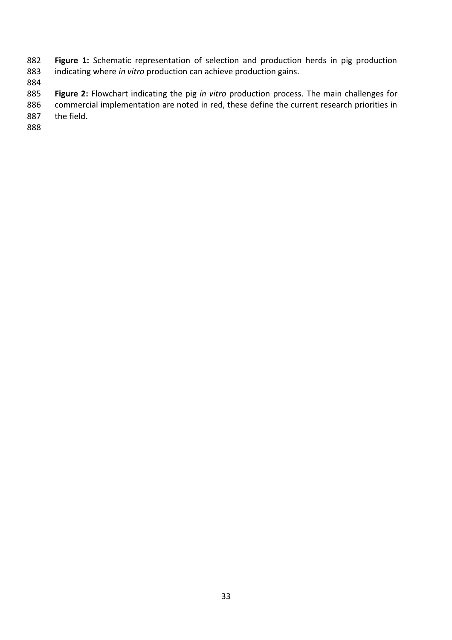**Figure 1:** Schematic representation of selection and production herds in pig production 883 indicating where *in vitro* production can achieve production gains. indicating where *in vitro* production can achieve production gains.

 **Figure 2:** Flowchart indicating the pig *in vitro* production process. The main challenges for commercial implementation are noted in red, these define the current research priorities in the field.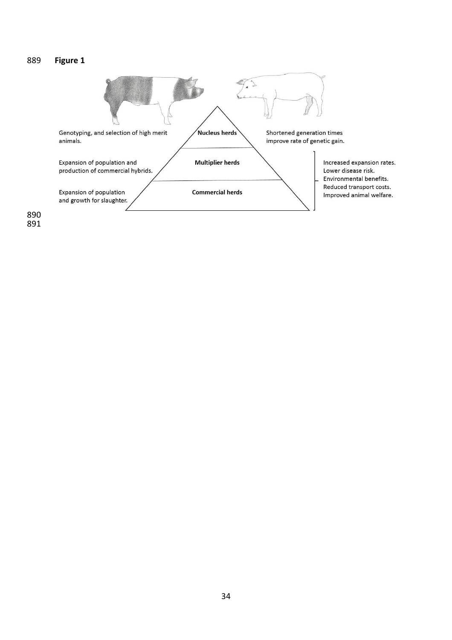